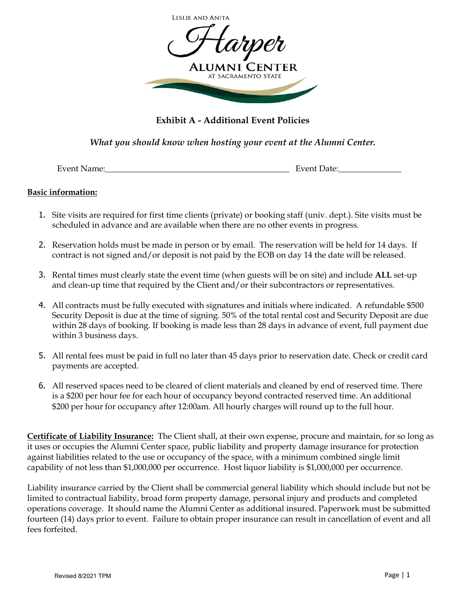

# **Exhibit A - Additional Event Policies**

*What you should know when hosting your event at the Alumni Center.*

Event Name:\_\_\_\_\_\_\_\_\_\_\_\_\_\_\_\_\_\_\_\_\_\_\_\_\_\_\_\_\_\_\_\_\_\_\_\_\_\_\_\_\_\_\_\_ Event Date:\_\_\_\_\_\_\_\_\_\_\_\_\_\_\_

### **Basic information:**

- 1. Site visits are required for first time clients (private) or booking staff (univ. dept.). Site visits must be scheduled in advance and are available when there are no other events in progress.
- 2. Reservation holds must be made in person or by email. The reservation will be held for 14 days. If contract is not signed and/or deposit is not paid by the EOB on day 14 the date will be released.
- 3. Rental times must clearly state the event time (when guests will be on site) and include **ALL** set-up and clean-up time that required by the Client and/or their subcontractors or representatives.
- 4. All contracts must be fully executed with signatures and initials where indicated. A refundable \$500 Security Deposit is due at the time of signing. 50% of the total rental cost and Security Deposit are due within 28 days of booking. If booking is made less than 28 days in advance of event, full payment due within 3 business days.
- 5. All rental fees must be paid in full no later than 45 days prior to reservation date. Check or credit card payments are accepted.
- 6. All reserved spaces need to be cleared of client materials and cleaned by end of reserved time. There is a \$200 per hour fee for each hour of occupancy beyond contracted reserved time. An additional \$200 per hour for occupancy after 12:00am. All hourly charges will round up to the full hour.

**Certificate of Liability Insurance:** The Client shall, at their own expense, procure and maintain, for so long as it uses or occupies the Alumni Center space, public liability and property damage insurance for protection against liabilities related to the use or occupancy of the space, with a minimum combined single limit capability of not less than \$1,000,000 per occurrence. Host liquor liability is \$1,000,000 per occurrence.

Liability insurance carried by the Client shall be commercial general liability which should include but not be limited to contractual liability, broad form property damage, personal injury and products and completed operations coverage. It should name the Alumni Center as additional insured. Paperwork must be submitted fourteen (14) days prior to event. Failure to obtain proper insurance can result in cancellation of event and all fees forfeited.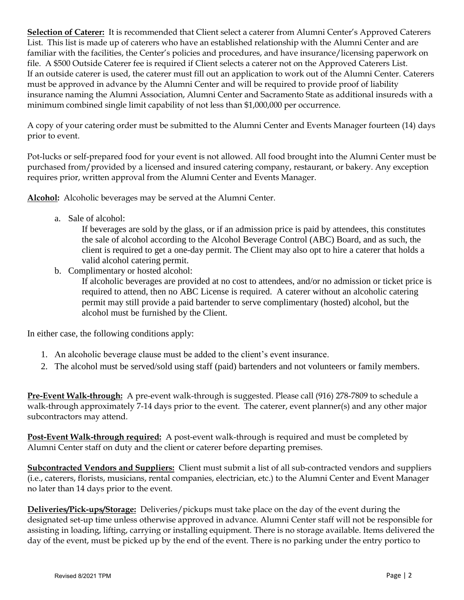**Selection of Caterer:** It is recommended that Client select a caterer from Alumni Center's Approved Caterers List. This list is made up of caterers who have an established relationship with the Alumni Center and are familiar with the facilities, the Center's policies and procedures, and have insurance/licensing paperwork on file. A \$500 Outside Caterer fee is required if Client selects a caterer not on the Approved Caterers List. If an outside caterer is used, the caterer must fill out an application to work out of the Alumni Center. Caterers must be approved in advance by the Alumni Center and will be required to provide proof of liability insurance naming the Alumni Association, Alumni Center and Sacramento State as additional insureds with a minimum combined single limit capability of not less than \$1,000,000 per occurrence.

A copy of your catering order must be submitted to the Alumni Center and Events Manager fourteen (14) days prior to event.

Pot-lucks or self-prepared food for your event is not allowed. All food brought into the Alumni Center must be purchased from/provided by a licensed and insured catering company, restaurant, or bakery. Any exception requires prior, written approval from the Alumni Center and Events Manager.

**Alcohol:** Alcoholic beverages may be served at the Alumni Center.

a. Sale of alcohol:

If beverages are sold by the glass, or if an admission price is paid by attendees, this constitutes the sale of alcohol according to the Alcohol Beverage Control (ABC) Board, and as such, the client is required to get a one-day permit. The Client may also opt to hire a caterer that holds a valid alcohol catering permit.

b. Complimentary or hosted alcohol:

If alcoholic beverages are provided at no cost to attendees, and/or no admission or ticket price is required to attend, then no ABC License is required. A caterer without an alcoholic catering permit may still provide a paid bartender to serve complimentary (hosted) alcohol, but the alcohol must be furnished by the Client.

In either case, the following conditions apply:

- 1. An alcoholic beverage clause must be added to the client's event insurance.
- 2. The alcohol must be served/sold using staff (paid) bartenders and not volunteers or family members.

**Pre-Event Walk-through:** A pre-event walk-through is suggested. Please call (916) 278-7809 to schedule a walk-through approximately 7-14 days prior to the event. The caterer, event planner(s) and any other major subcontractors may attend.

**Post-Event Walk-through required:** A post-event walk-through is required and must be completed by Alumni Center staff on duty and the client or caterer before departing premises.

**Subcontracted Vendors and Suppliers:** Client must submit a list of all sub-contracted vendors and suppliers (i.e., caterers, florists, musicians, rental companies, electrician, etc.) to the Alumni Center and Event Manager no later than 14 days prior to the event.

**Deliveries/Pick-ups/Storage:** Deliveries/pickups must take place on the day of the event during the designated set-up time unless otherwise approved in advance. Alumni Center staff will not be responsible for assisting in loading, lifting, carrying or installing equipment. There is no storage available. Items delivered the day of the event, must be picked up by the end of the event. There is no parking under the entry portico to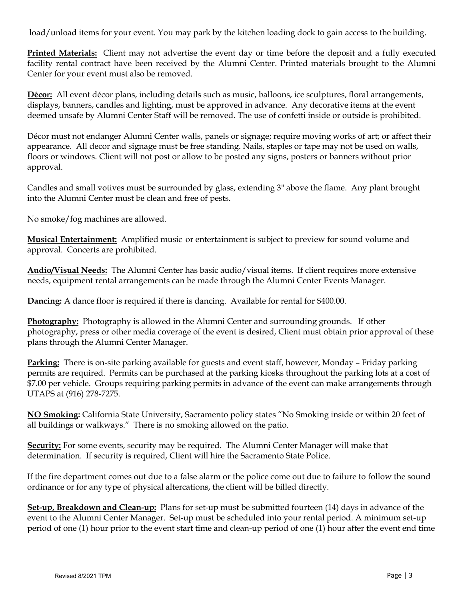load/unload items for your event. You may park by the kitchen loading dock to gain access to the building.

**Printed Materials:** Client may not advertise the event day or time before the deposit and a fully executed facility rental contract have been received by the Alumni Center. Printed materials brought to the Alumni Center for your event must also be removed.

**Décor:** All event décor plans, including details such as music, balloons, ice sculptures, floral arrangements, displays, banners, candles and lighting, must be approved in advance. Any decorative items at the event deemed unsafe by Alumni Center Staff will be removed. The use of confetti inside or outside is prohibited.

Décor must not endanger Alumni Center walls, panels or signage; require moving works of art; or affect their appearance. All decor and signage must be free standing. Nails, staples or tape may not be used on walls, floors or windows. Client will not post or allow to be posted any signs, posters or banners without prior approval.

Candles and small votives must be surrounded by glass, extending 3" above the flame. Any plant brought into the Alumni Center must be clean and free of pests.

No smoke/fog machines are allowed.

**Musical Entertainment:** Amplified music or entertainment is subject to preview for sound volume and approval. Concerts are prohibited.

**Audio/Visual Needs:** The Alumni Center has basic audio/visual items. If client requires more extensive needs, equipment rental arrangements can be made through the Alumni Center Events Manager.

**Dancing:** A dance floor is required if there is dancing. Available for rental for \$400.00.

**Photography:** Photography is allowed in the Alumni Center and surrounding grounds. If other photography, press or other media coverage of the event is desired, Client must obtain prior approval of these plans through the Alumni Center Manager.

**Parking:** There is on-site parking available for guests and event staff, however, Monday – Friday parking permits are required. Permits can be purchased at the parking kiosks throughout the parking lots at a cost of \$7.00 per vehicle. Groups requiring parking permits in advance of the event can make arrangements through UTAPS at (916) 278-7275.

**NO Smoking:** California State University, Sacramento policy states "No Smoking inside or within 20 feet of all buildings or walkways." There is no smoking allowed on the patio.

**Security:** For some events, security may be required. The Alumni Center Manager will make that determination. If security is required, Client will hire the Sacramento State Police.

If the fire department comes out due to a false alarm or the police come out due to failure to follow the sound ordinance or for any type of physical altercations, the client will be billed directly.

**Set-up, Breakdown and Clean-up:** Plans for set-up must be submitted fourteen (14) days in advance of the event to the Alumni Center Manager. Set-up must be scheduled into your rental period. A minimum set-up period of one (1) hour prior to the event start time and clean-up period of one (1) hour after the event end time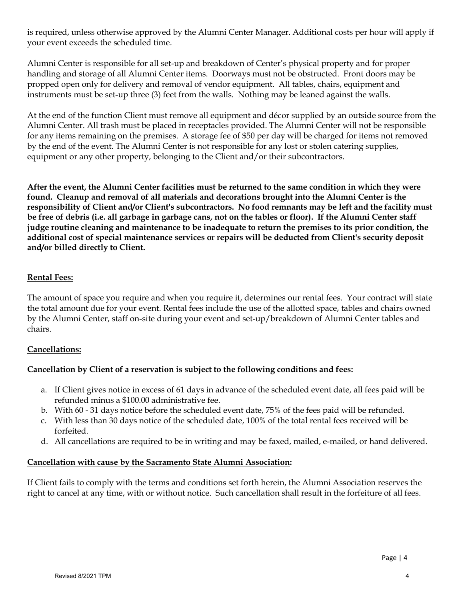is required, unless otherwise approved by the Alumni Center Manager. Additional costs per hour will apply if your event exceeds the scheduled time.

Alumni Center is responsible for all set-up and breakdown of Center's physical property and for proper handling and storage of all Alumni Center items. Doorways must not be obstructed. Front doors may be propped open only for delivery and removal of vendor equipment. All tables, chairs, equipment and instruments must be set-up three (3) feet from the walls. Nothing may be leaned against the walls.

At the end of the function Client must remove all equipment and décor supplied by an outside source from the Alumni Center. All trash must be placed in receptacles provided. The Alumni Center will not be responsible for any items remaining on the premises. A storage fee of \$50 per day will be charged for items not removed by the end of the event. The Alumni Center is not responsible for any lost or stolen catering supplies, equipment or any other property, belonging to the Client and/or their subcontractors.

**After the event, the Alumni Center facilities must be returned to the same condition in which they were found. Cleanup and removal of all materials and decorations brought into the Alumni Center is the responsibility of Client and/or Client's subcontractors. No food remnants may be left and the facility must be free of debris (i.e. all garbage in garbage cans, not on the tables or floor). If the Alumni Center staff judge routine cleaning and maintenance to be inadequate to return the premises to its prior condition, the additional cost of special maintenance services or repairs will be deducted from Client's security deposit and/or billed directly to Client.** 

# **Rental Fees:**

The amount of space you require and when you require it, determines our rental fees. Your contract will state the total amount due for your event. Rental fees include the use of the allotted space, tables and chairs owned by the Alumni Center, staff on-site during your event and set-up/breakdown of Alumni Center tables and chairs.

#### **Cancellations:**

# **Cancellation by Client of a reservation is subject to the following conditions and fees:**

- a. If Client gives notice in excess of 61 days in advance of the scheduled event date, all fees paid will be refunded minus a \$100.00 administrative fee.
- b. With 60 31 days notice before the scheduled event date, 75% of the fees paid will be refunded.
- c. With less than 30 days notice of the scheduled date, 100% of the total rental fees received will be forfeited.
- d. All cancellations are required to be in writing and may be faxed, mailed, e-mailed, or hand delivered.

#### **Cancellation with cause by the Sacramento State Alumni Association:**

If Client fails to comply with the terms and conditions set forth herein, the Alumni Association reserves the right to cancel at any time, with or without notice. Such cancellation shall result in the forfeiture of all fees.